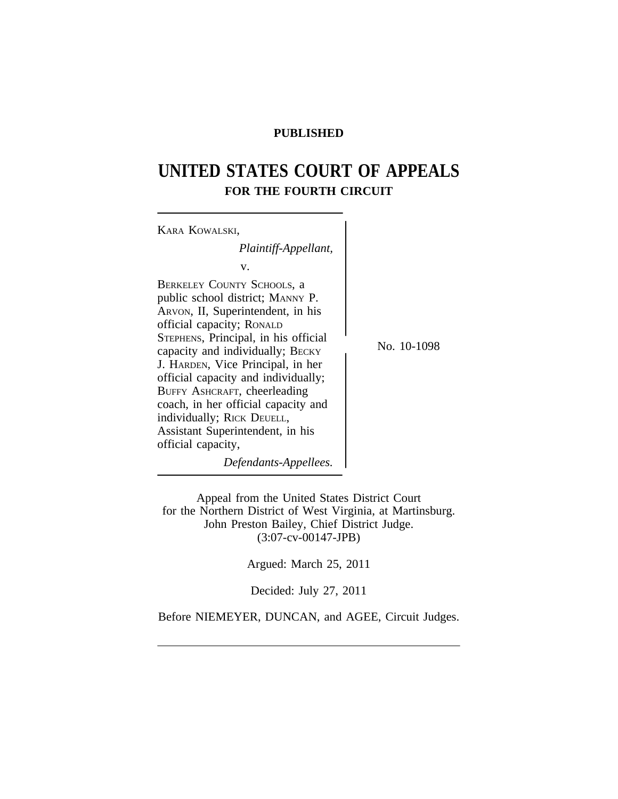## **PUBLISHED**

# **UNITED STATES COURT OF APPEALS FOR THE FOURTH CIRCUIT**

| KARA KOWALSKI,                                                                                                                                                                                                                                                                                                                                                                                                                                 |             |
|------------------------------------------------------------------------------------------------------------------------------------------------------------------------------------------------------------------------------------------------------------------------------------------------------------------------------------------------------------------------------------------------------------------------------------------------|-------------|
| Plaintiff-Appellant,                                                                                                                                                                                                                                                                                                                                                                                                                           |             |
| v.<br><b>BERKELEY COUNTY SCHOOLS, a</b><br>public school district; MANNY P.<br>ARVON, II, Superintendent, in his<br>official capacity; RONALD<br>STEPHENS, Principal, in his official<br>capacity and individually; BECKY<br>J. HARDEN, Vice Principal, in her<br>official capacity and individually;<br>BUFFY ASHCRAFT, cheerleading<br>coach, in her official capacity and<br>individually; RICK DEUELL,<br>Assistant Superintendent, in his | No. 10-1098 |
| official capacity,<br>Defendants-Appellees.                                                                                                                                                                                                                                                                                                                                                                                                    |             |

Appeal from the United States District Court for the Northern District of West Virginia, at Martinsburg. John Preston Bailey, Chief District Judge. (3:07-cv-00147-JPB)

Argued: March 25, 2011

Decided: July 27, 2011

Before NIEMEYER, DUNCAN, and AGEE, Circuit Judges.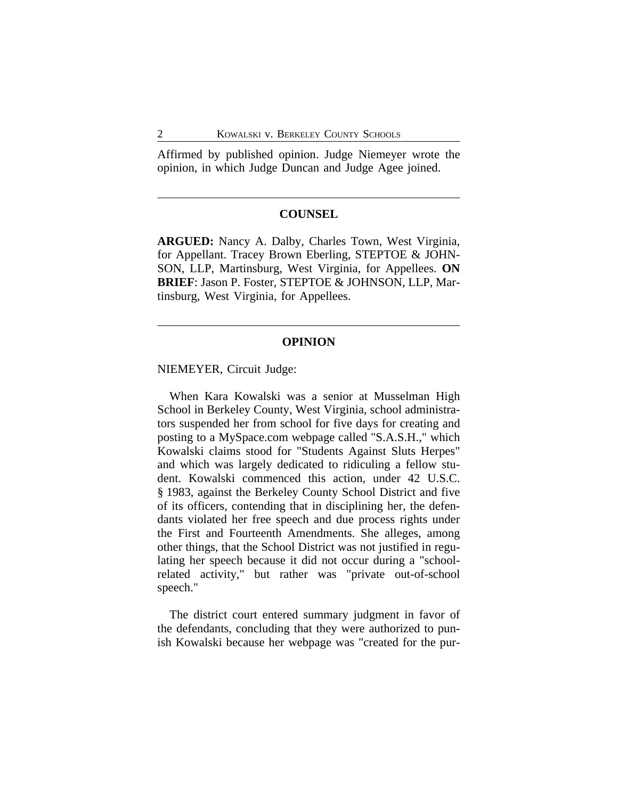Affirmed by published opinion. Judge Niemeyer wrote the opinion, in which Judge Duncan and Judge Agee joined.

#### **COUNSEL**

**ARGUED:** Nancy A. Dalby, Charles Town, West Virginia, for Appellant. Tracey Brown Eberling, STEPTOE & JOHN-SON, LLP, Martinsburg, West Virginia, for Appellees. **ON BRIEF**: Jason P. Foster, STEPTOE & JOHNSON, LLP, Martinsburg, West Virginia, for Appellees.

#### **OPINION**

NIEMEYER, Circuit Judge:

When Kara Kowalski was a senior at Musselman High School in Berkeley County, West Virginia, school administrators suspended her from school for five days for creating and posting to a MySpace.com webpage called "S.A.S.H.," which Kowalski claims stood for "Students Against Sluts Herpes" and which was largely dedicated to ridiculing a fellow student. Kowalski commenced this action, under 42 U.S.C. § 1983, against the Berkeley County School District and five of its officers, contending that in disciplining her, the defendants violated her free speech and due process rights under the First and Fourteenth Amendments. She alleges, among other things, that the School District was not justified in regulating her speech because it did not occur during a "schoolrelated activity," but rather was "private out-of-school speech."

The district court entered summary judgment in favor of the defendants, concluding that they were authorized to punish Kowalski because her webpage was "created for the pur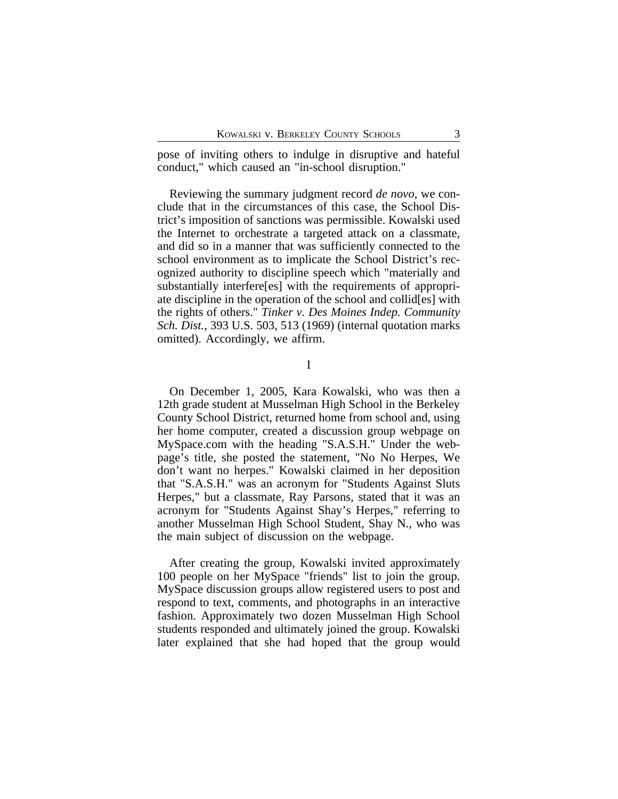pose of inviting others to indulge in disruptive and hateful conduct," which caused an "in-school disruption."

Reviewing the summary judgment record *de novo*, we conclude that in the circumstances of this case, the School District's imposition of sanctions was permissible. Kowalski used the Internet to orchestrate a targeted attack on a classmate, and did so in a manner that was sufficiently connected to the school environment as to implicate the School District's recognized authority to discipline speech which "materially and substantially interfere[es] with the requirements of appropriate discipline in the operation of the school and collid[es] with the rights of others." *Tinker v. Des Moines Indep. Community Sch. Dist.*, 393 U.S. 503, 513 (1969) (internal quotation marks omitted). Accordingly, we affirm.

I

On December 1, 2005, Kara Kowalski, who was then a 12th grade student at Musselman High School in the Berkeley County School District, returned home from school and, using her home computer, created a discussion group webpage on MySpace.com with the heading "S.A.S.H." Under the webpage's title, she posted the statement, "No No Herpes, We don't want no herpes." Kowalski claimed in her deposition that "S.A.S.H." was an acronym for "Students Against Sluts Herpes," but a classmate, Ray Parsons, stated that it was an acronym for "Students Against Shay's Herpes," referring to another Musselman High School Student, Shay N., who was the main subject of discussion on the webpage.

After creating the group, Kowalski invited approximately 100 people on her MySpace "friends" list to join the group. MySpace discussion groups allow registered users to post and respond to text, comments, and photographs in an interactive fashion. Approximately two dozen Musselman High School students responded and ultimately joined the group. Kowalski later explained that she had hoped that the group would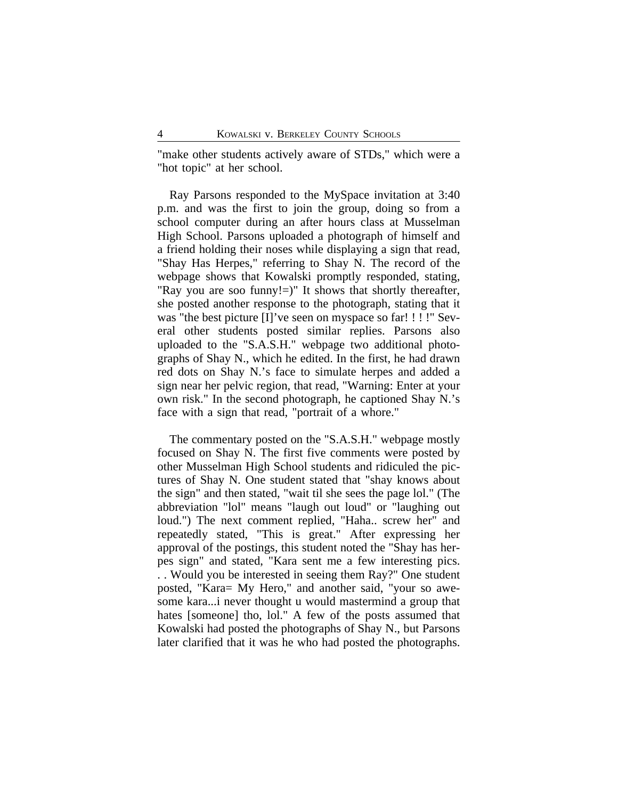"make other students actively aware of STDs," which were a "hot topic" at her school.

Ray Parsons responded to the MySpace invitation at 3:40 p.m. and was the first to join the group, doing so from a school computer during an after hours class at Musselman High School. Parsons uploaded a photograph of himself and a friend holding their noses while displaying a sign that read, "Shay Has Herpes," referring to Shay N. The record of the webpage shows that Kowalski promptly responded, stating, "Ray you are soo funny! $=$ )" It shows that shortly thereafter, she posted another response to the photograph, stating that it was "the best picture [I]'ve seen on myspace so far! ! ! !" Several other students posted similar replies. Parsons also uploaded to the "S.A.S.H." webpage two additional photographs of Shay N., which he edited. In the first, he had drawn red dots on Shay N.'s face to simulate herpes and added a sign near her pelvic region, that read, "Warning: Enter at your own risk." In the second photograph, he captioned Shay N.'s face with a sign that read, "portrait of a whore."

The commentary posted on the "S.A.S.H." webpage mostly focused on Shay N. The first five comments were posted by other Musselman High School students and ridiculed the pictures of Shay N. One student stated that "shay knows about the sign" and then stated, "wait til she sees the page lol." (The abbreviation "lol" means "laugh out loud" or "laughing out loud.") The next comment replied, "Haha.. screw her" and repeatedly stated, "This is great." After expressing her approval of the postings, this student noted the "Shay has herpes sign" and stated, "Kara sent me a few interesting pics. . . Would you be interested in seeing them Ray?" One student posted, "Kara= My Hero," and another said, "your so awesome kara...i never thought u would mastermind a group that hates [someone] tho, lol." A few of the posts assumed that Kowalski had posted the photographs of Shay N., but Parsons later clarified that it was he who had posted the photographs.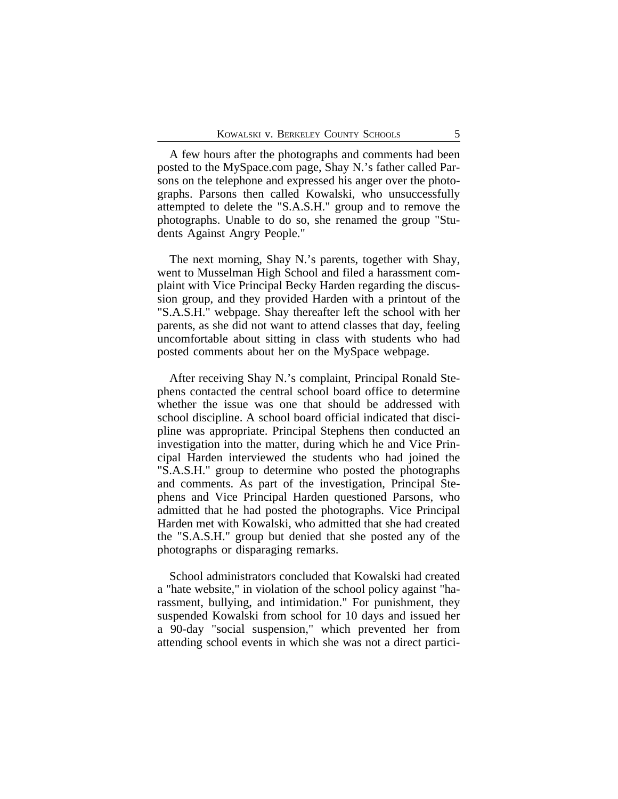A few hours after the photographs and comments had been posted to the MySpace.com page, Shay N.'s father called Parsons on the telephone and expressed his anger over the photographs. Parsons then called Kowalski, who unsuccessfully attempted to delete the "S.A.S.H." group and to remove the photographs. Unable to do so, she renamed the group "Students Against Angry People."

The next morning, Shay N.'s parents, together with Shay, went to Musselman High School and filed a harassment complaint with Vice Principal Becky Harden regarding the discussion group, and they provided Harden with a printout of the "S.A.S.H." webpage. Shay thereafter left the school with her parents, as she did not want to attend classes that day, feeling uncomfortable about sitting in class with students who had posted comments about her on the MySpace webpage.

After receiving Shay N.'s complaint, Principal Ronald Stephens contacted the central school board office to determine whether the issue was one that should be addressed with school discipline. A school board official indicated that discipline was appropriate. Principal Stephens then conducted an investigation into the matter, during which he and Vice Principal Harden interviewed the students who had joined the "S.A.S.H." group to determine who posted the photographs and comments. As part of the investigation, Principal Stephens and Vice Principal Harden questioned Parsons, who admitted that he had posted the photographs. Vice Principal Harden met with Kowalski, who admitted that she had created the "S.A.S.H." group but denied that she posted any of the photographs or disparaging remarks.

School administrators concluded that Kowalski had created a "hate website," in violation of the school policy against "harassment, bullying, and intimidation." For punishment, they suspended Kowalski from school for 10 days and issued her a 90-day "social suspension," which prevented her from attending school events in which she was not a direct partici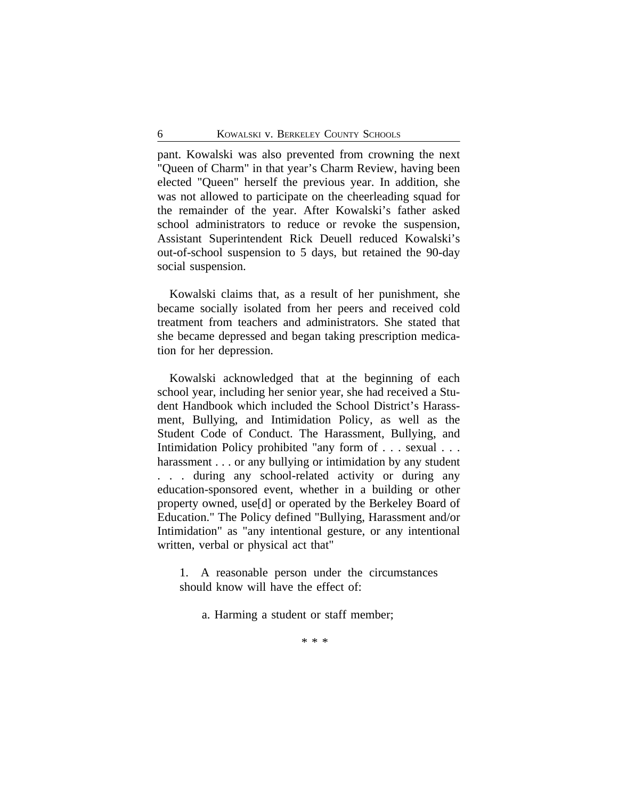pant. Kowalski was also prevented from crowning the next "Queen of Charm" in that year's Charm Review, having been elected "Queen" herself the previous year. In addition, she was not allowed to participate on the cheerleading squad for the remainder of the year. After Kowalski's father asked school administrators to reduce or revoke the suspension, Assistant Superintendent Rick Deuell reduced Kowalski's out-of-school suspension to 5 days, but retained the 90-day social suspension.

Kowalski claims that, as a result of her punishment, she became socially isolated from her peers and received cold treatment from teachers and administrators. She stated that she became depressed and began taking prescription medication for her depression.

Kowalski acknowledged that at the beginning of each school year, including her senior year, she had received a Student Handbook which included the School District's Harassment, Bullying, and Intimidation Policy, as well as the Student Code of Conduct. The Harassment, Bullying, and Intimidation Policy prohibited "any form of . . . sexual . . . harassment . . . or any bullying or intimidation by any student . . . during any school-related activity or during any education-sponsored event, whether in a building or other property owned, use[d] or operated by the Berkeley Board of Education." The Policy defined "Bullying, Harassment and/or Intimidation" as "any intentional gesture, or any intentional written, verbal or physical act that"

1. A reasonable person under the circumstances should know will have the effect of:

a. Harming a student or staff member;

\* \* \*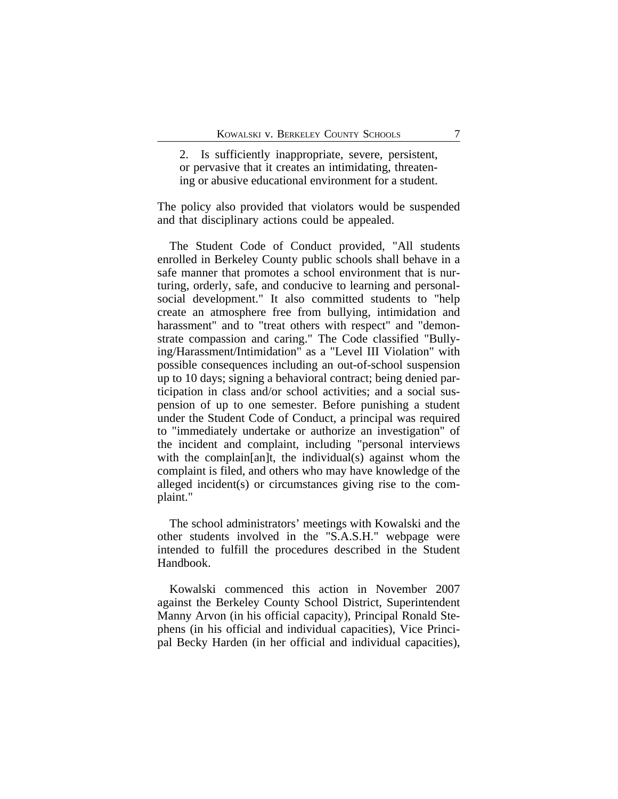2. Is sufficiently inappropriate, severe, persistent, or pervasive that it creates an intimidating, threatening or abusive educational environment for a student.

The policy also provided that violators would be suspended and that disciplinary actions could be appealed.

The Student Code of Conduct provided, "All students enrolled in Berkeley County public schools shall behave in a safe manner that promotes a school environment that is nurturing, orderly, safe, and conducive to learning and personalsocial development." It also committed students to "help create an atmosphere free from bullying, intimidation and harassment" and to "treat others with respect" and "demonstrate compassion and caring." The Code classified "Bullying/Harassment/Intimidation" as a "Level III Violation" with possible consequences including an out-of-school suspension up to 10 days; signing a behavioral contract; being denied participation in class and/or school activities; and a social suspension of up to one semester. Before punishing a student under the Student Code of Conduct, a principal was required to "immediately undertake or authorize an investigation" of the incident and complaint, including "personal interviews with the complain[an]t, the individual(s) against whom the complaint is filed, and others who may have knowledge of the alleged incident(s) or circumstances giving rise to the complaint."

The school administrators' meetings with Kowalski and the other students involved in the "S.A.S.H." webpage were intended to fulfill the procedures described in the Student Handbook.

Kowalski commenced this action in November 2007 against the Berkeley County School District, Superintendent Manny Arvon (in his official capacity), Principal Ronald Stephens (in his official and individual capacities), Vice Principal Becky Harden (in her official and individual capacities),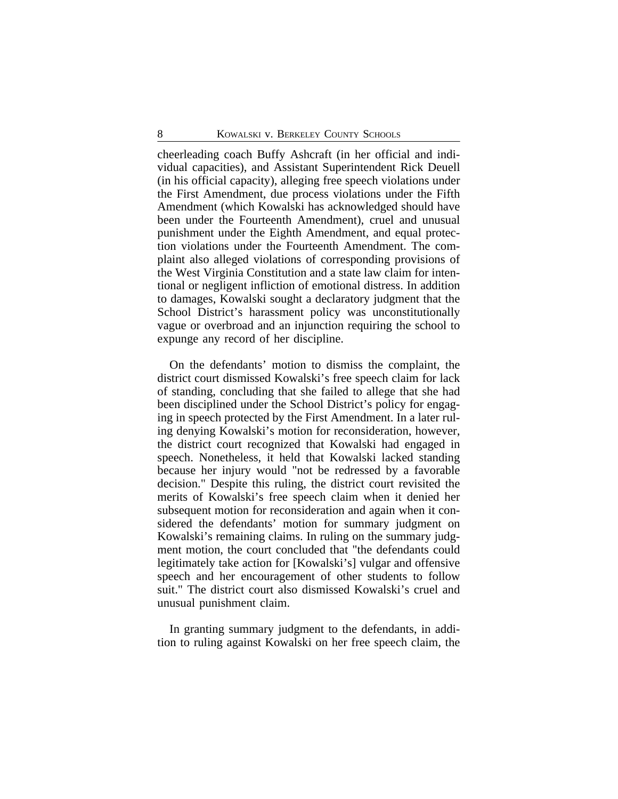cheerleading coach Buffy Ashcraft (in her official and individual capacities), and Assistant Superintendent Rick Deuell (in his official capacity), alleging free speech violations under the First Amendment, due process violations under the Fifth Amendment (which Kowalski has acknowledged should have been under the Fourteenth Amendment), cruel and unusual punishment under the Eighth Amendment, and equal protection violations under the Fourteenth Amendment. The complaint also alleged violations of corresponding provisions of the West Virginia Constitution and a state law claim for intentional or negligent infliction of emotional distress. In addition to damages, Kowalski sought a declaratory judgment that the School District's harassment policy was unconstitutionally vague or overbroad and an injunction requiring the school to expunge any record of her discipline.

On the defendants' motion to dismiss the complaint, the district court dismissed Kowalski's free speech claim for lack of standing, concluding that she failed to allege that she had been disciplined under the School District's policy for engaging in speech protected by the First Amendment. In a later ruling denying Kowalski's motion for reconsideration, however, the district court recognized that Kowalski had engaged in speech. Nonetheless, it held that Kowalski lacked standing because her injury would "not be redressed by a favorable decision." Despite this ruling, the district court revisited the merits of Kowalski's free speech claim when it denied her subsequent motion for reconsideration and again when it considered the defendants' motion for summary judgment on Kowalski's remaining claims. In ruling on the summary judgment motion, the court concluded that "the defendants could legitimately take action for [Kowalski's] vulgar and offensive speech and her encouragement of other students to follow suit." The district court also dismissed Kowalski's cruel and unusual punishment claim.

In granting summary judgment to the defendants, in addition to ruling against Kowalski on her free speech claim, the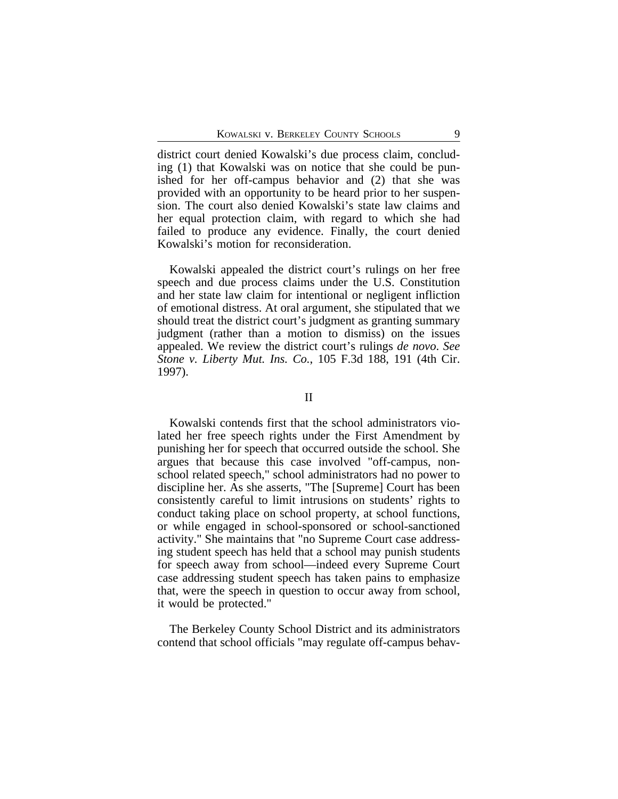district court denied Kowalski's due process claim, concluding (1) that Kowalski was on notice that she could be punished for her off-campus behavior and (2) that she was provided with an opportunity to be heard prior to her suspension. The court also denied Kowalski's state law claims and her equal protection claim, with regard to which she had failed to produce any evidence. Finally, the court denied Kowalski's motion for reconsideration.

Kowalski appealed the district court's rulings on her free speech and due process claims under the U.S. Constitution and her state law claim for intentional or negligent infliction of emotional distress. At oral argument, she stipulated that we should treat the district court's judgment as granting summary judgment (rather than a motion to dismiss) on the issues appealed. We review the district court's rulings *de novo*. *See Stone v. Liberty Mut. Ins. Co.*, 105 F.3d 188, 191 (4th Cir. 1997).

Kowalski contends first that the school administrators violated her free speech rights under the First Amendment by punishing her for speech that occurred outside the school. She argues that because this case involved "off-campus, nonschool related speech," school administrators had no power to discipline her. As she asserts, "The [Supreme] Court has been consistently careful to limit intrusions on students' rights to conduct taking place on school property, at school functions, or while engaged in school-sponsored or school-sanctioned activity." She maintains that "no Supreme Court case addressing student speech has held that a school may punish students for speech away from school—indeed every Supreme Court case addressing student speech has taken pains to emphasize that, were the speech in question to occur away from school, it would be protected."

The Berkeley County School District and its administrators contend that school officials "may regulate off-campus behav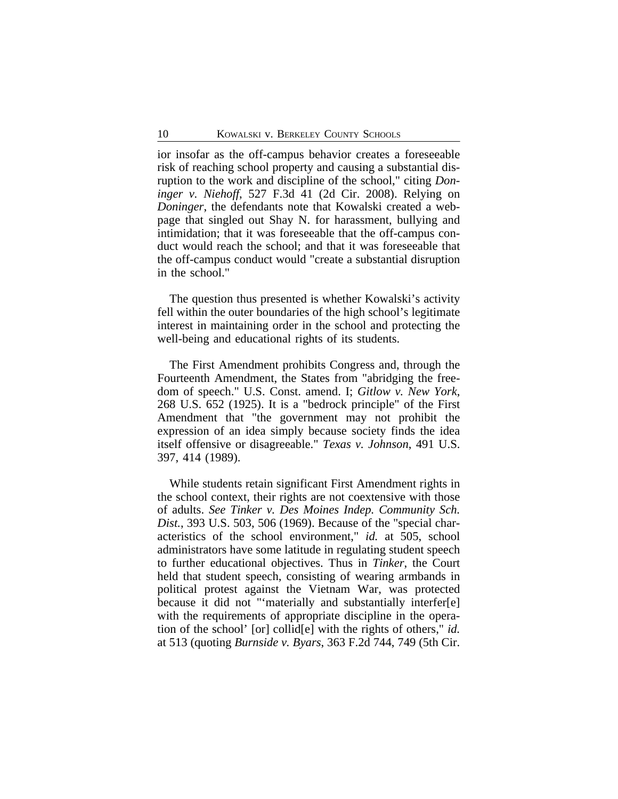ior insofar as the off-campus behavior creates a foreseeable risk of reaching school property and causing a substantial disruption to the work and discipline of the school," citing *Doninger v. Niehoff*, 527 F.3d 41 (2d Cir. 2008). Relying on *Doninger*, the defendants note that Kowalski created a webpage that singled out Shay N. for harassment, bullying and intimidation; that it was foreseeable that the off-campus conduct would reach the school; and that it was foreseeable that the off-campus conduct would "create a substantial disruption in the school."

The question thus presented is whether Kowalski's activity fell within the outer boundaries of the high school's legitimate interest in maintaining order in the school and protecting the well-being and educational rights of its students.

The First Amendment prohibits Congress and, through the Fourteenth Amendment, the States from "abridging the freedom of speech." U.S. Const. amend. I; *Gitlow v. New York*, 268 U.S. 652 (1925). It is a "bedrock principle" of the First Amendment that "the government may not prohibit the expression of an idea simply because society finds the idea itself offensive or disagreeable." *Texas v. Johnson*, 491 U.S. 397, 414 (1989).

While students retain significant First Amendment rights in the school context, their rights are not coextensive with those of adults. *See Tinker v. Des Moines Indep. Community Sch. Dist.*, 393 U.S. 503, 506 (1969). Because of the "special characteristics of the school environment," *id.* at 505, school administrators have some latitude in regulating student speech to further educational objectives. Thus in *Tinker*, the Court held that student speech, consisting of wearing armbands in political protest against the Vietnam War, was protected because it did not "'materially and substantially interfer[e] with the requirements of appropriate discipline in the operation of the school' [or] collid[e] with the rights of others," *id.* at 513 (quoting *Burnside v. Byars*, 363 F.2d 744, 749 (5th Cir.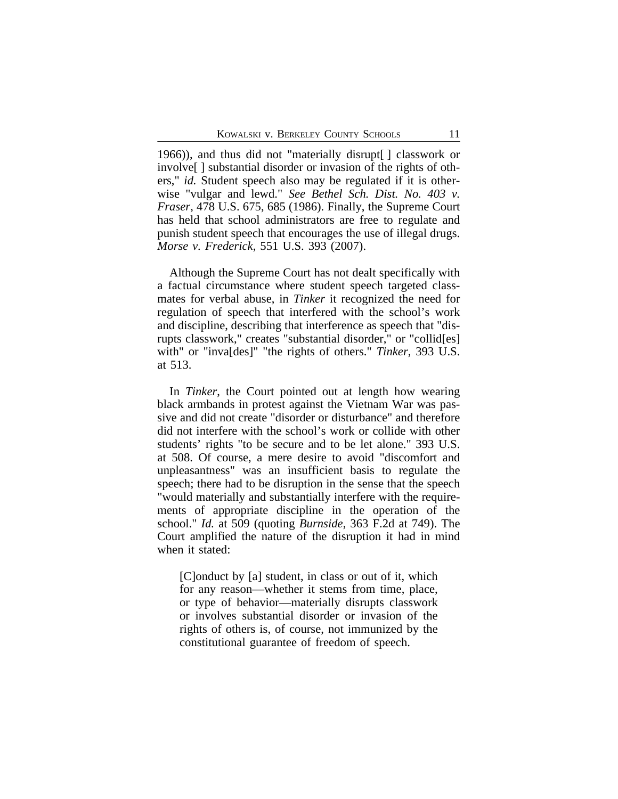1966)), and thus did not "materially disrupt[ ] classwork or involve[ ] substantial disorder or invasion of the rights of others," *id.* Student speech also may be regulated if it is otherwise "vulgar and lewd." *See Bethel Sch. Dist. No. 403 v. Fraser*, 478 U.S. 675, 685 (1986). Finally, the Supreme Court has held that school administrators are free to regulate and punish student speech that encourages the use of illegal drugs. *Morse v. Frederick*, 551 U.S. 393 (2007).

Although the Supreme Court has not dealt specifically with a factual circumstance where student speech targeted classmates for verbal abuse, in *Tinker* it recognized the need for regulation of speech that interfered with the school's work and discipline, describing that interference as speech that "disrupts classwork," creates "substantial disorder," or "collid[es] with" or "inva[des]" "the rights of others." *Tinker*, 393 U.S. at 513.

In *Tinker*, the Court pointed out at length how wearing black armbands in protest against the Vietnam War was passive and did not create "disorder or disturbance" and therefore did not interfere with the school's work or collide with other students' rights "to be secure and to be let alone." 393 U.S. at 508. Of course, a mere desire to avoid "discomfort and unpleasantness" was an insufficient basis to regulate the speech; there had to be disruption in the sense that the speech "would materially and substantially interfere with the requirements of appropriate discipline in the operation of the school." *Id.* at 509 (quoting *Burnside*, 363 F.2d at 749). The Court amplified the nature of the disruption it had in mind when it stated:

[C]onduct by [a] student, in class or out of it, which for any reason—whether it stems from time, place, or type of behavior—materially disrupts classwork or involves substantial disorder or invasion of the rights of others is, of course, not immunized by the constitutional guarantee of freedom of speech.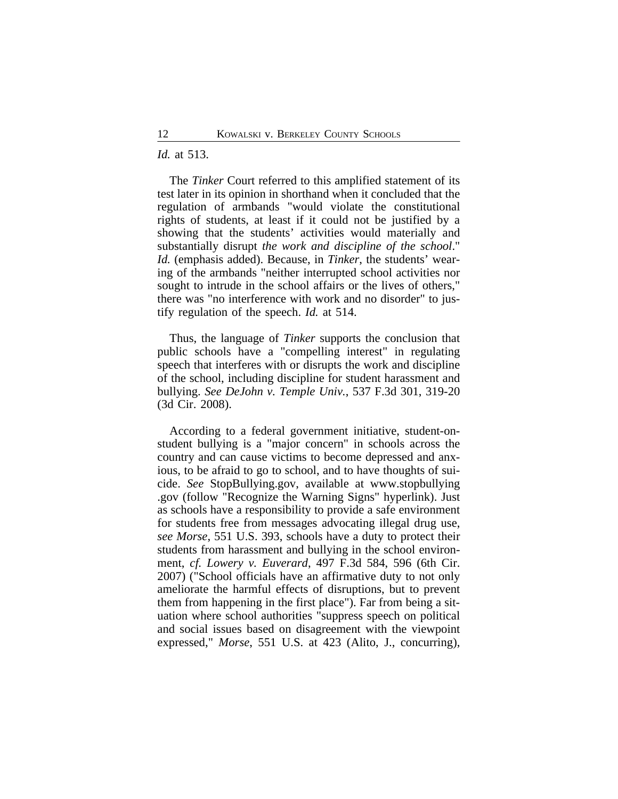#### *Id.* at 513.

The *Tinker* Court referred to this amplified statement of its test later in its opinion in shorthand when it concluded that the regulation of armbands "would violate the constitutional rights of students, at least if it could not be justified by a showing that the students' activities would materially and substantially disrupt *the work and discipline of the school*." *Id.* (emphasis added). Because, in *Tinker*, the students' wearing of the armbands "neither interrupted school activities nor sought to intrude in the school affairs or the lives of others," there was "no interference with work and no disorder" to justify regulation of the speech. *Id.* at 514.

Thus, the language of *Tinker* supports the conclusion that public schools have a "compelling interest" in regulating speech that interferes with or disrupts the work and discipline of the school, including discipline for student harassment and bullying. *See DeJohn v. Temple Univ.*, 537 F.3d 301, 319-20 (3d Cir. 2008).

According to a federal government initiative, student-onstudent bullying is a "major concern" in schools across the country and can cause victims to become depressed and anxious, to be afraid to go to school, and to have thoughts of suicide. *See* StopBullying.gov, available at www.stopbullying .gov (follow "Recognize the Warning Signs" hyperlink). Just as schools have a responsibility to provide a safe environment for students free from messages advocating illegal drug use, *see Morse*, 551 U.S. 393, schools have a duty to protect their students from harassment and bullying in the school environment, *cf. Lowery v. Euverard*, 497 F.3d 584, 596 (6th Cir. 2007) ("School officials have an affirmative duty to not only ameliorate the harmful effects of disruptions, but to prevent them from happening in the first place"). Far from being a situation where school authorities "suppress speech on political and social issues based on disagreement with the viewpoint expressed," *Morse*, 551 U.S. at 423 (Alito, J., concurring),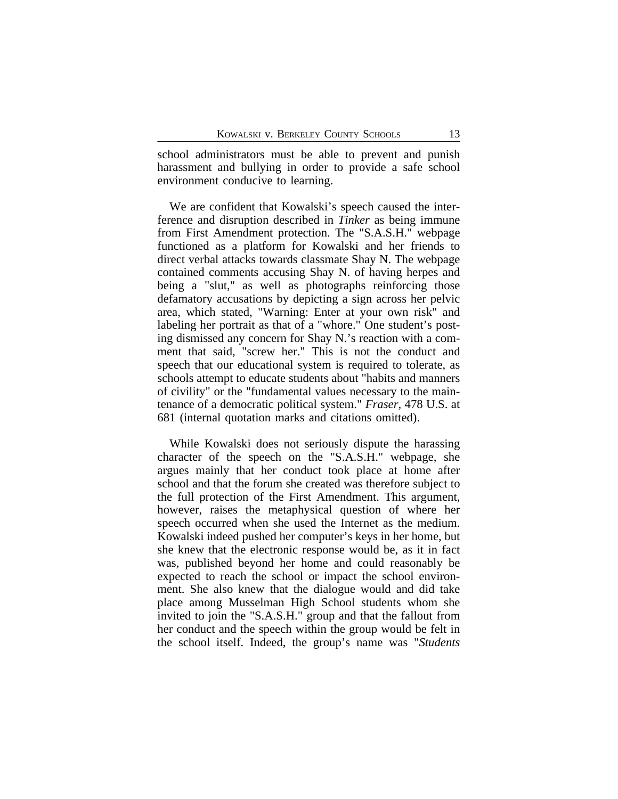school administrators must be able to prevent and punish harassment and bullying in order to provide a safe school environment conducive to learning.

We are confident that Kowalski's speech caused the interference and disruption described in *Tinker* as being immune from First Amendment protection. The "S.A.S.H." webpage functioned as a platform for Kowalski and her friends to direct verbal attacks towards classmate Shay N. The webpage contained comments accusing Shay N. of having herpes and being a "slut," as well as photographs reinforcing those defamatory accusations by depicting a sign across her pelvic area, which stated, "Warning: Enter at your own risk" and labeling her portrait as that of a "whore." One student's posting dismissed any concern for Shay N.'s reaction with a comment that said, "screw her." This is not the conduct and speech that our educational system is required to tolerate, as schools attempt to educate students about "habits and manners of civility" or the "fundamental values necessary to the maintenance of a democratic political system." *Fraser*, 478 U.S. at 681 (internal quotation marks and citations omitted).

While Kowalski does not seriously dispute the harassing character of the speech on the "S.A.S.H." webpage, she argues mainly that her conduct took place at home after school and that the forum she created was therefore subject to the full protection of the First Amendment. This argument, however, raises the metaphysical question of where her speech occurred when she used the Internet as the medium. Kowalski indeed pushed her computer's keys in her home, but she knew that the electronic response would be, as it in fact was, published beyond her home and could reasonably be expected to reach the school or impact the school environment. She also knew that the dialogue would and did take place among Musselman High School students whom she invited to join the "S.A.S.H." group and that the fallout from her conduct and the speech within the group would be felt in the school itself. Indeed, the group's name was "*Students*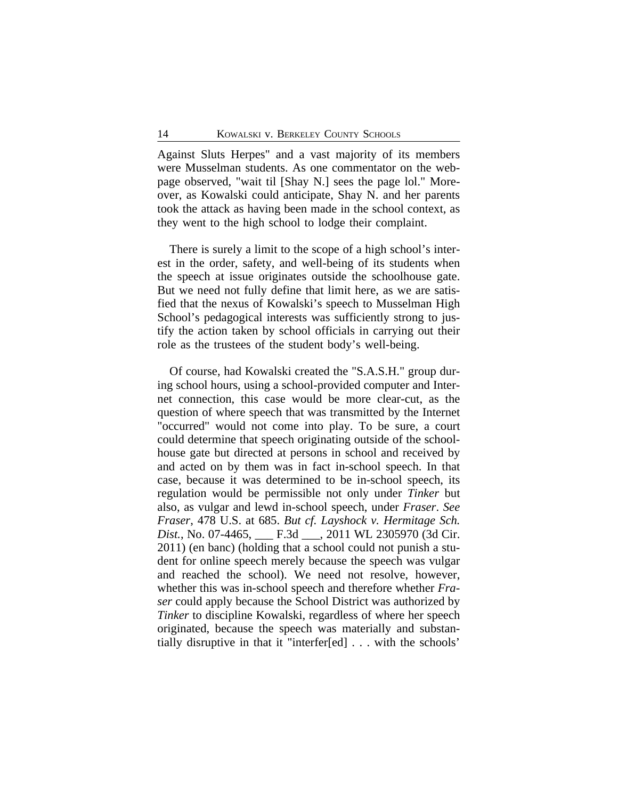Against Sluts Herpes" and a vast majority of its members were Musselman students. As one commentator on the webpage observed, "wait til [Shay N.] sees the page lol." Moreover, as Kowalski could anticipate, Shay N. and her parents took the attack as having been made in the school context, as they went to the high school to lodge their complaint.

There is surely a limit to the scope of a high school's interest in the order, safety, and well-being of its students when the speech at issue originates outside the schoolhouse gate. But we need not fully define that limit here, as we are satisfied that the nexus of Kowalski's speech to Musselman High School's pedagogical interests was sufficiently strong to justify the action taken by school officials in carrying out their role as the trustees of the student body's well-being.

Of course, had Kowalski created the "S.A.S.H." group during school hours, using a school-provided computer and Internet connection, this case would be more clear-cut, as the question of where speech that was transmitted by the Internet "occurred" would not come into play. To be sure, a court could determine that speech originating outside of the schoolhouse gate but directed at persons in school and received by and acted on by them was in fact in-school speech. In that case, because it was determined to be in-school speech, its regulation would be permissible not only under *Tinker* but also, as vulgar and lewd in-school speech, under *Fraser*. *See Fraser*, 478 U.S. at 685. *But cf. Layshock v. Hermitage Sch. Dist.*, No. 07-4465, \_\_\_ F.3d \_\_\_, 2011 WL 2305970 (3d Cir. 2011) (en banc) (holding that a school could not punish a student for online speech merely because the speech was vulgar and reached the school). We need not resolve, however, whether this was in-school speech and therefore whether *Fraser* could apply because the School District was authorized by *Tinker* to discipline Kowalski, regardless of where her speech originated, because the speech was materially and substantially disruptive in that it "interfer[ed] . . . with the schools'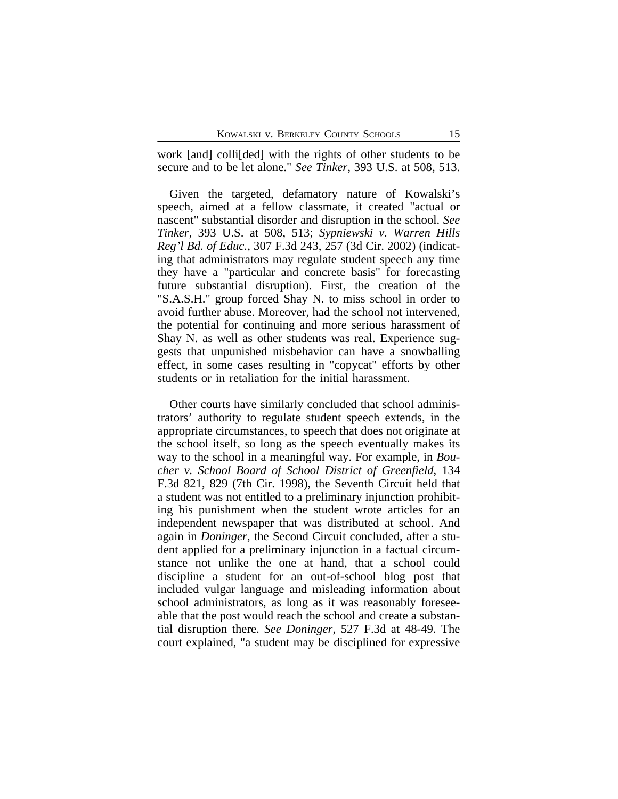work [and] colli[ded] with the rights of other students to be secure and to be let alone." *See Tinker*, 393 U.S. at 508, 513.

Given the targeted, defamatory nature of Kowalski's speech, aimed at a fellow classmate, it created "actual or nascent" substantial disorder and disruption in the school. *See Tinker*, 393 U.S. at 508, 513; *Sypniewski v. Warren Hills Reg'l Bd. of Educ.*, 307 F.3d 243, 257 (3d Cir. 2002) (indicating that administrators may regulate student speech any time they have a "particular and concrete basis" for forecasting future substantial disruption). First, the creation of the "S.A.S.H." group forced Shay N. to miss school in order to avoid further abuse. Moreover, had the school not intervened, the potential for continuing and more serious harassment of Shay N. as well as other students was real. Experience suggests that unpunished misbehavior can have a snowballing effect, in some cases resulting in "copycat" efforts by other students or in retaliation for the initial harassment.

Other courts have similarly concluded that school administrators' authority to regulate student speech extends, in the appropriate circumstances, to speech that does not originate at the school itself, so long as the speech eventually makes its way to the school in a meaningful way. For example, in *Boucher v. School Board of School District of Greenfield*, 134 F.3d 821, 829 (7th Cir. 1998), the Seventh Circuit held that a student was not entitled to a preliminary injunction prohibiting his punishment when the student wrote articles for an independent newspaper that was distributed at school. And again in *Doninger*, the Second Circuit concluded, after a student applied for a preliminary injunction in a factual circumstance not unlike the one at hand, that a school could discipline a student for an out-of-school blog post that included vulgar language and misleading information about school administrators, as long as it was reasonably foreseeable that the post would reach the school and create a substantial disruption there. *See Doninger*, 527 F.3d at 48-49. The court explained, "a student may be disciplined for expressive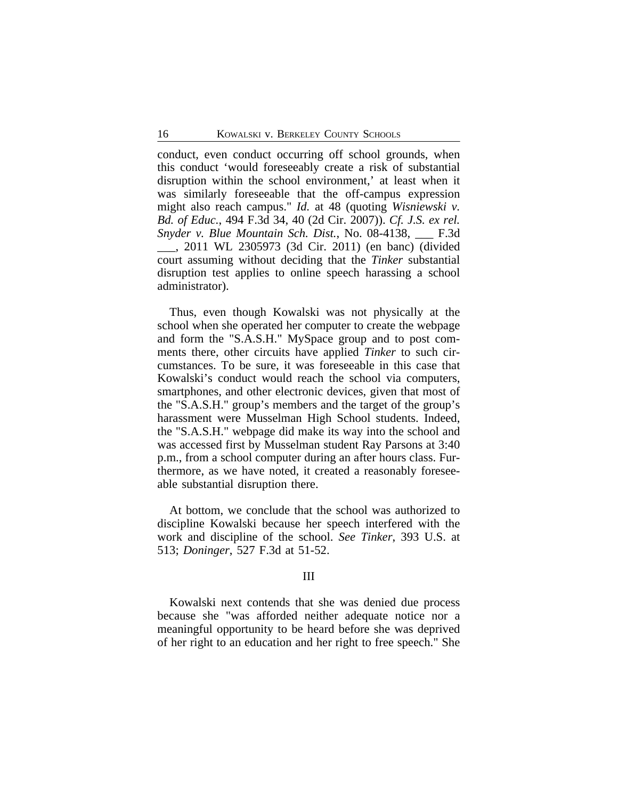conduct, even conduct occurring off school grounds, when this conduct 'would foreseeably create a risk of substantial disruption within the school environment,' at least when it was similarly foreseeable that the off-campus expression might also reach campus." *Id.* at 48 (quoting *Wisniewski v. Bd. of Educ.*, 494 F.3d 34, 40 (2d Cir. 2007)). *Cf. J.S. ex rel. Snyder v. Blue Mountain Sch. Dist.*, No. 08-4138, \_\_\_ F.3d \_\_\_, 2011 WL 2305973 (3d Cir. 2011) (en banc) (divided court assuming without deciding that the *Tinker* substantial disruption test applies to online speech harassing a school administrator).

Thus, even though Kowalski was not physically at the school when she operated her computer to create the webpage and form the "S.A.S.H." MySpace group and to post comments there, other circuits have applied *Tinker* to such circumstances. To be sure, it was foreseeable in this case that Kowalski's conduct would reach the school via computers, smartphones, and other electronic devices, given that most of the "S.A.S.H." group's members and the target of the group's harassment were Musselman High School students. Indeed, the "S.A.S.H." webpage did make its way into the school and was accessed first by Musselman student Ray Parsons at 3:40 p.m., from a school computer during an after hours class. Furthermore, as we have noted, it created a reasonably foreseeable substantial disruption there.

At bottom, we conclude that the school was authorized to discipline Kowalski because her speech interfered with the work and discipline of the school. *See Tinker*, 393 U.S. at 513; *Doninger*, 527 F.3d at 51-52.

### III

Kowalski next contends that she was denied due process because she "was afforded neither adequate notice nor a meaningful opportunity to be heard before she was deprived of her right to an education and her right to free speech." She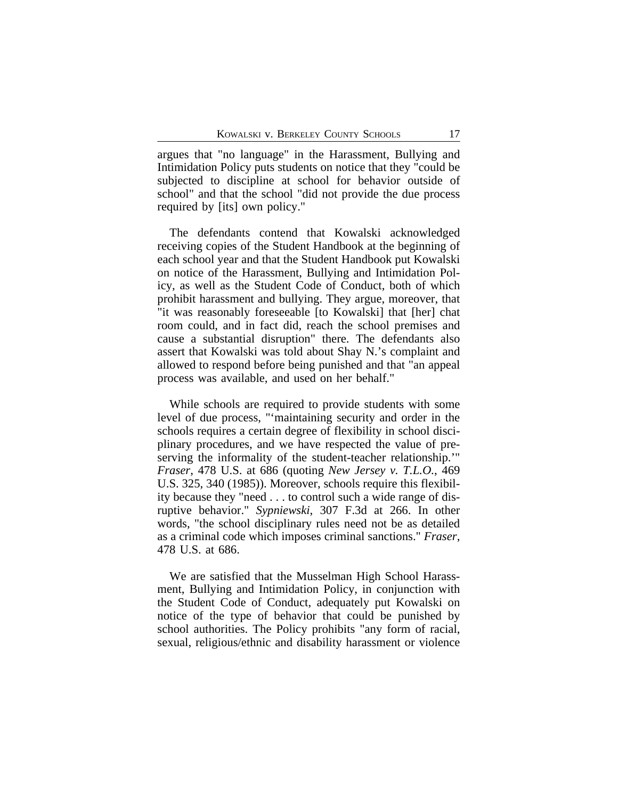argues that "no language" in the Harassment, Bullying and Intimidation Policy puts students on notice that they "could be subjected to discipline at school for behavior outside of school" and that the school "did not provide the due process required by [its] own policy."

The defendants contend that Kowalski acknowledged receiving copies of the Student Handbook at the beginning of each school year and that the Student Handbook put Kowalski on notice of the Harassment, Bullying and Intimidation Policy, as well as the Student Code of Conduct, both of which prohibit harassment and bullying. They argue, moreover, that "it was reasonably foreseeable [to Kowalski] that [her] chat room could, and in fact did, reach the school premises and cause a substantial disruption" there. The defendants also assert that Kowalski was told about Shay N.'s complaint and allowed to respond before being punished and that "an appeal process was available, and used on her behalf."

While schools are required to provide students with some level of due process, "'maintaining security and order in the schools requires a certain degree of flexibility in school disciplinary procedures, and we have respected the value of preserving the informality of the student-teacher relationship.'" *Fraser*, 478 U.S. at 686 (quoting *New Jersey v. T.L.O.*, 469 U.S. 325, 340 (1985)). Moreover, schools require this flexibility because they "need . . . to control such a wide range of disruptive behavior." *Sypniewski*, 307 F.3d at 266. In other words, "the school disciplinary rules need not be as detailed as a criminal code which imposes criminal sanctions." *Fraser*, 478 U.S. at 686.

We are satisfied that the Musselman High School Harassment, Bullying and Intimidation Policy, in conjunction with the Student Code of Conduct, adequately put Kowalski on notice of the type of behavior that could be punished by school authorities. The Policy prohibits "any form of racial, sexual, religious/ethnic and disability harassment or violence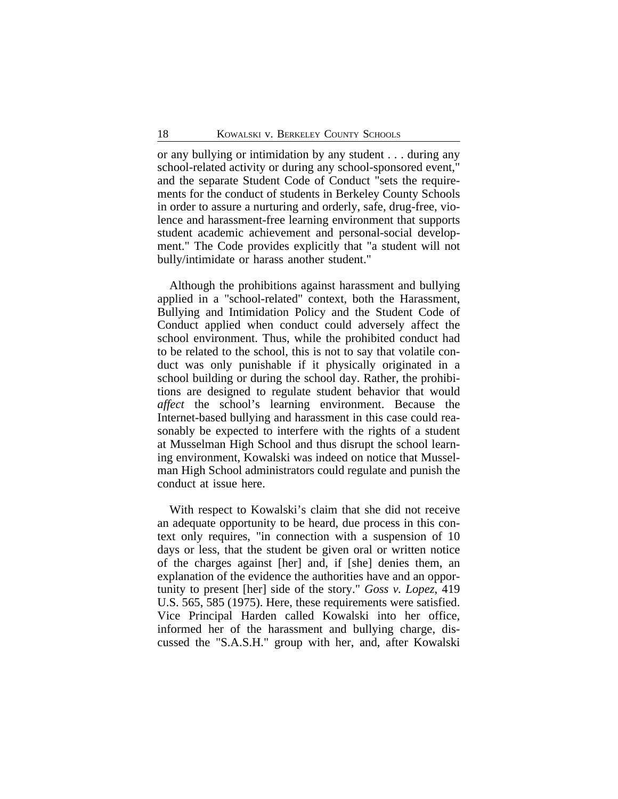or any bullying or intimidation by any student . . . during any school-related activity or during any school-sponsored event," and the separate Student Code of Conduct "sets the requirements for the conduct of students in Berkeley County Schools in order to assure a nurturing and orderly, safe, drug-free, violence and harassment-free learning environment that supports student academic achievement and personal-social development." The Code provides explicitly that "a student will not bully/intimidate or harass another student."

Although the prohibitions against harassment and bullying applied in a "school-related" context, both the Harassment, Bullying and Intimidation Policy and the Student Code of Conduct applied when conduct could adversely affect the school environment. Thus, while the prohibited conduct had to be related to the school, this is not to say that volatile conduct was only punishable if it physically originated in a school building or during the school day. Rather, the prohibitions are designed to regulate student behavior that would *affect* the school's learning environment. Because the Internet-based bullying and harassment in this case could reasonably be expected to interfere with the rights of a student at Musselman High School and thus disrupt the school learning environment, Kowalski was indeed on notice that Musselman High School administrators could regulate and punish the conduct at issue here.

With respect to Kowalski's claim that she did not receive an adequate opportunity to be heard, due process in this context only requires, "in connection with a suspension of 10 days or less, that the student be given oral or written notice of the charges against [her] and, if [she] denies them, an explanation of the evidence the authorities have and an opportunity to present [her] side of the story." *Goss v. Lopez*, 419 U.S. 565, 585 (1975). Here, these requirements were satisfied. Vice Principal Harden called Kowalski into her office, informed her of the harassment and bullying charge, discussed the "S.A.S.H." group with her, and, after Kowalski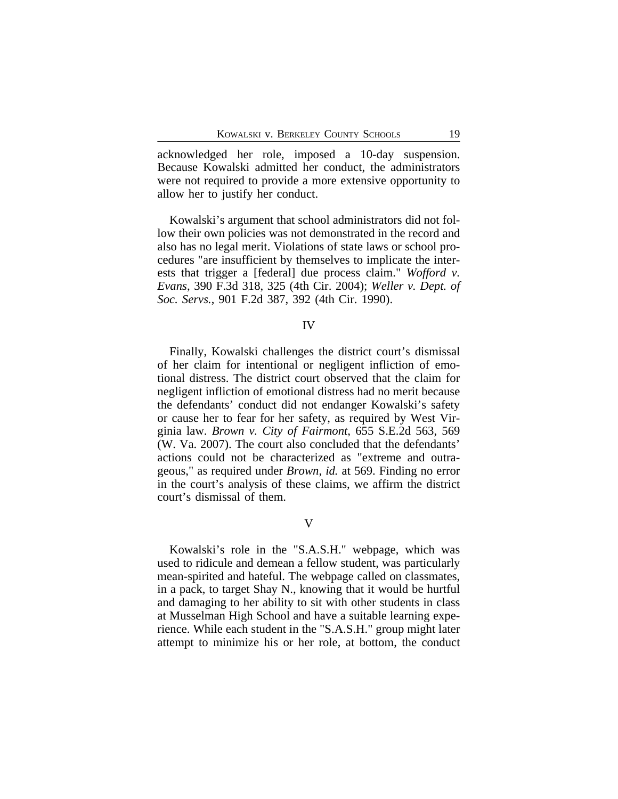acknowledged her role, imposed a 10-day suspension. Because Kowalski admitted her conduct, the administrators were not required to provide a more extensive opportunity to allow her to justify her conduct.

Kowalski's argument that school administrators did not follow their own policies was not demonstrated in the record and also has no legal merit. Violations of state laws or school procedures "are insufficient by themselves to implicate the interests that trigger a [federal] due process claim." *Wofford v. Evans*, 390 F.3d 318, 325 (4th Cir. 2004); *Weller v. Dept. of Soc. Servs.*, 901 F.2d 387, 392 (4th Cir. 1990).

#### IV

Finally, Kowalski challenges the district court's dismissal of her claim for intentional or negligent infliction of emotional distress. The district court observed that the claim for negligent infliction of emotional distress had no merit because the defendants' conduct did not endanger Kowalski's safety or cause her to fear for her safety, as required by West Virginia law. *Brown v. City of Fairmont*, 655 S.E.2d 563, 569 (W. Va. 2007). The court also concluded that the defendants' actions could not be characterized as "extreme and outrageous," as required under *Brown*, *id.* at 569. Finding no error in the court's analysis of these claims, we affirm the district court's dismissal of them.

#### V

Kowalski's role in the "S.A.S.H." webpage, which was used to ridicule and demean a fellow student, was particularly mean-spirited and hateful. The webpage called on classmates, in a pack, to target Shay N., knowing that it would be hurtful and damaging to her ability to sit with other students in class at Musselman High School and have a suitable learning experience. While each student in the "S.A.S.H." group might later attempt to minimize his or her role, at bottom, the conduct